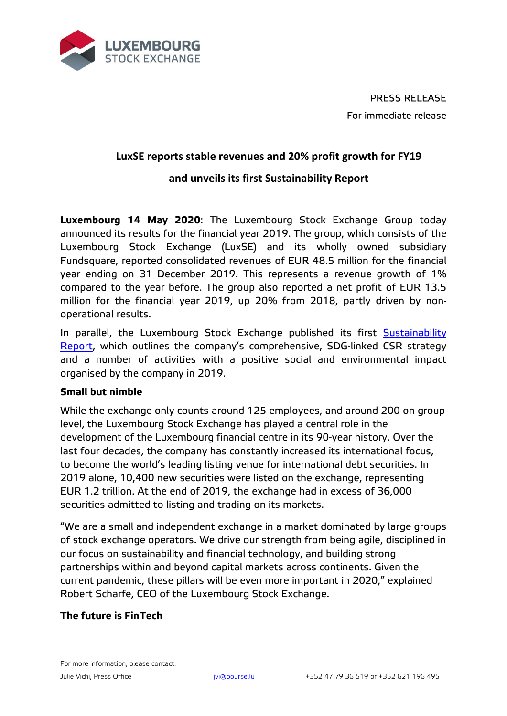

PRESS RELEASE For immediate release

# **LuxSE reports stable revenues and 20% profit growth for FY19**

## **and unveils its first Sustainability Report**

**Luxembourg 14 May 2020**: The Luxembourg Stock Exchange Group today announced its results for the financial year 2019. The group, which consists of the Luxembourg Stock Exchange (LuxSE) and its wholly owned subsidiary Fundsquare, reported consolidated revenues of EUR 48.5 million for the financial year ending on 31 December 2019. This represents a revenue growth of 1% compared to the year before. The group also reported a net profit of EUR 13.5 million for the financial year 2019, up 20% from 2018, partly driven by nonoperational results.

In parallel, the Luxembourg Stock Exchange published its first [Sustainability](https://www.bourse.lu/csr)  [Report,](https://www.bourse.lu/csr) which outlines the company's comprehensive, SDG-linked CSR strategy and a number of activities with a positive social and environmental impact organised by the company in 2019.

### **Small but nimble**

While the exchange only counts around 125 employees, and around 200 on group level, the Luxembourg Stock Exchange has played a central role in the development of the Luxembourg financial centre in its 90-year history. Over the last four decades, the company has constantly increased its international focus, to become the world's leading listing venue for international debt securities. In 2019 alone, 10,400 new securities were listed on the exchange, representing EUR 1.2 trillion. At the end of 2019, the exchange had in excess of 36,000 securities admitted to listing and trading on its markets.

"We are a small and independent exchange in a market dominated by large groups of stock exchange operators. We drive our strength from being agile, disciplined in our focus on sustainability and financial technology, and building strong partnerships within and beyond capital markets across continents. Given the current pandemic, these pillars will be even more important in 2020," explained Robert Scharfe, CEO of the Luxembourg Stock Exchange.

### **The future is FinTech**